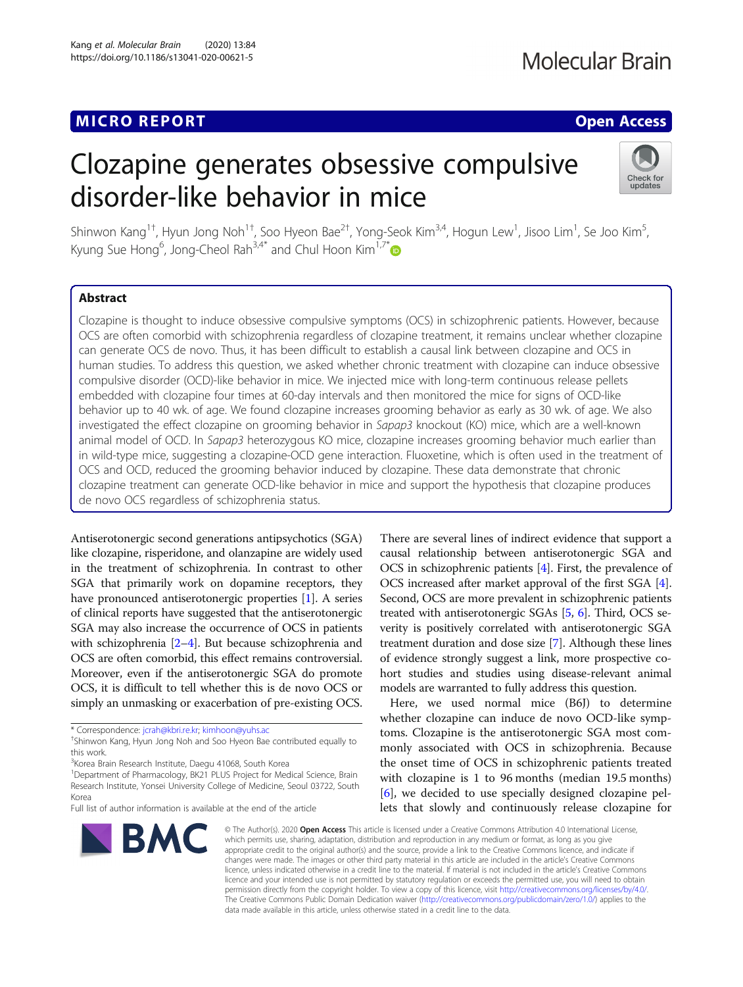# MICRO REPORT AND INTERNATIONAL CONTRACT OF THE SECOND ACCESS OPEN ACCESS

# Clozapine generates obsessive compulsive disorder-like behavior in mice



Shinwon Kang $^{1\dagger}$ , Hyun Jong Noh $^{1\dagger}$ , Soo Hyeon Bae $^{2\dagger}$ , Yong-Seok Kim $^{3,4}$ , Hogun Lew $^1$ , Jisoo Lim $^1$ , Se Joo Kim $^5$ , Kyung Sue Hong<sup>6</sup>, Jong-Cheol Rah<sup>3,4\*</sup> and Chul Hoon Kim<sup>1,7\*</sup>

## Abstract

Clozapine is thought to induce obsessive compulsive symptoms (OCS) in schizophrenic patients. However, because OCS are often comorbid with schizophrenia regardless of clozapine treatment, it remains unclear whether clozapine can generate OCS de novo. Thus, it has been difficult to establish a causal link between clozapine and OCS in human studies. To address this question, we asked whether chronic treatment with clozapine can induce obsessive compulsive disorder (OCD)-like behavior in mice. We injected mice with long-term continuous release pellets embedded with clozapine four times at 60-day intervals and then monitored the mice for signs of OCD-like behavior up to 40 wk. of age. We found clozapine increases grooming behavior as early as 30 wk. of age. We also investigated the effect clozapine on grooming behavior in Sapap3 knockout (KO) mice, which are a well-known animal model of OCD. In Sapap3 heterozygous KO mice, clozapine increases grooming behavior much earlier than in wild-type mice, suggesting a clozapine-OCD gene interaction. Fluoxetine, which is often used in the treatment of OCS and OCD, reduced the grooming behavior induced by clozapine. These data demonstrate that chronic clozapine treatment can generate OCD-like behavior in mice and support the hypothesis that clozapine produces de novo OCS regardless of schizophrenia status.

Antiserotonergic second generations antipsychotics (SGA) like clozapine, risperidone, and olanzapine are widely used in the treatment of schizophrenia. In contrast to other SGA that primarily work on dopamine receptors, they have pronounced antiserotonergic properties [[1\]](#page-3-0). A series of clinical reports have suggested that the antiserotonergic SGA may also increase the occurrence of OCS in patients with schizophrenia [\[2](#page-3-0)–[4](#page-3-0)]. But because schizophrenia and OCS are often comorbid, this effect remains controversial. Moreover, even if the antiserotonergic SGA do promote OCS, it is difficult to tell whether this is de novo OCS or simply an unmasking or exacerbation of pre-existing OCS.

Full list of author information is available at the end of the article



There are several lines of indirect evidence that support a causal relationship between antiserotonergic SGA and OCS in schizophrenic patients [[4](#page-3-0)]. First, the prevalence of OCS increased after market approval of the first SGA [[4](#page-3-0)]. Second, OCS are more prevalent in schizophrenic patients treated with antiserotonergic SGAs [\[5](#page-3-0), [6](#page-3-0)]. Third, OCS severity is positively correlated with antiserotonergic SGA treatment duration and dose size [\[7](#page-3-0)]. Although these lines of evidence strongly suggest a link, more prospective cohort studies and studies using disease-relevant animal models are warranted to fully address this question.

Here, we used normal mice (B6J) to determine whether clozapine can induce de novo OCD-like symptoms. Clozapine is the antiserotonergic SGA most commonly associated with OCS in schizophrenia. Because the onset time of OCS in schizophrenic patients treated with clozapine is 1 to 96 months (median 19.5 months) [[6\]](#page-3-0), we decided to use specially designed clozapine pellets that slowly and continuously release clozapine for

© The Author(s), 2020 **Open Access** This article is licensed under a Creative Commons Attribution 4.0 International License, which permits use, sharing, adaptation, distribution and reproduction in any medium or format, as long as you give appropriate credit to the original author(s) and the source, provide a link to the Creative Commons licence, and indicate if changes were made. The images or other third party material in this article are included in the article's Creative Commons licence, unless indicated otherwise in a credit line to the material. If material is not included in the article's Creative Commons licence and your intended use is not permitted by statutory regulation or exceeds the permitted use, you will need to obtain permission directly from the copyright holder. To view a copy of this licence, visit [http://creativecommons.org/licenses/by/4.0/.](http://creativecommons.org/licenses/by/4.0/) The Creative Commons Public Domain Dedication waiver [\(http://creativecommons.org/publicdomain/zero/1.0/](http://creativecommons.org/publicdomain/zero/1.0/)) applies to the data made available in this article, unless otherwise stated in a credit line to the data.

<sup>\*</sup> Correspondence: [jcrah@kbri.re.kr;](mailto:jcrah@kbri.re.kr) [kimhoon@yuhs.ac](mailto:kimhoon@yuhs.ac) †

<sup>&</sup>lt;sup>+</sup>Shinwon Kang, Hyun Jong Noh and Soo Hyeon Bae contributed equally to this work.

<sup>&</sup>lt;sup>3</sup> Korea Brain Research Institute, Daegu 41068, South Korea

<sup>&</sup>lt;sup>1</sup>Department of Pharmacology, BK21 PLUS Project for Medical Science, Brain Research Institute, Yonsei University College of Medicine, Seoul 03722, South Korea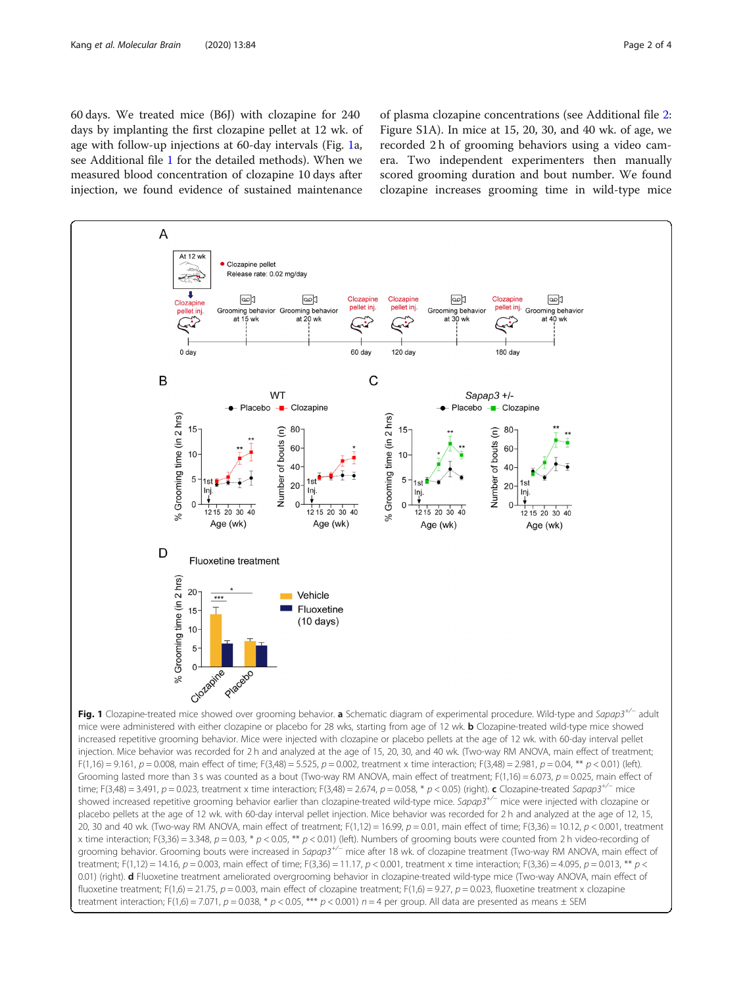<span id="page-1-0"></span>60 days. We treated mice (B6J) with clozapine for 240 days by implanting the first clozapine pellet at 12 wk. of age with follow-up injections at 60-day intervals (Fig. 1a, see Additional file [1](#page-2-0) for the detailed methods). When we measured blood concentration of clozapine 10 days after injection, we found evidence of sustained maintenance of plasma clozapine concentrations (see Additional file [2](#page-2-0): Figure S1A). In mice at 15, 20, 30, and 40 wk. of age, we recorded 2 h of grooming behaviors using a video camera. Two independent experimenters then manually scored grooming duration and bout number. We found clozapine increases grooming time in wild-type mice

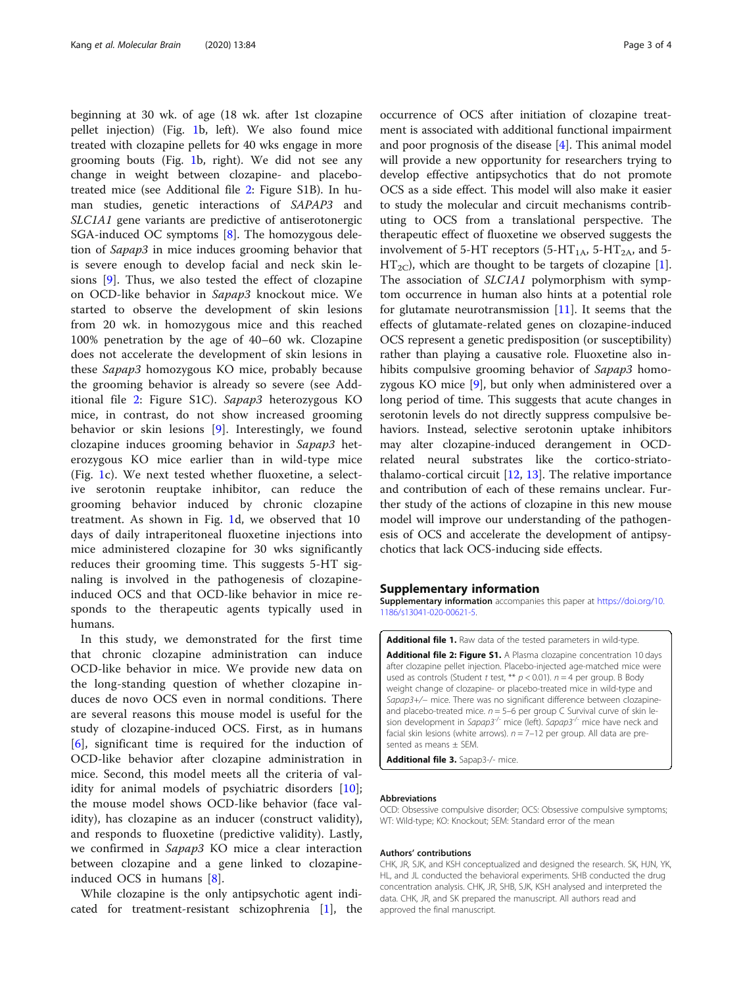<span id="page-2-0"></span>beginning at 30 wk. of age (18 wk. after 1st clozapine pellet injection) (Fig. [1](#page-1-0)b, left). We also found mice treated with clozapine pellets for 40 wks engage in more grooming bouts (Fig. [1b](#page-1-0), right). We did not see any change in weight between clozapine- and placebotreated mice (see Additional file 2: Figure S1B). In human studies, genetic interactions of SAPAP3 and SLC1A1 gene variants are predictive of antiserotonergic SGA-induced OC symptoms [[8\]](#page-3-0). The homozygous deletion of Sapap3 in mice induces grooming behavior that is severe enough to develop facial and neck skin lesions [\[9\]](#page-3-0). Thus, we also tested the effect of clozapine on OCD-like behavior in Sapap3 knockout mice. We started to observe the development of skin lesions from 20 wk. in homozygous mice and this reached 100% penetration by the age of 40–60 wk. Clozapine does not accelerate the development of skin lesions in these Sapap3 homozygous KO mice, probably because the grooming behavior is already so severe (see Additional file 2: Figure S1C). Sapap3 heterozygous KO mice, in contrast, do not show increased grooming behavior or skin lesions [[9\]](#page-3-0). Interestingly, we found clozapine induces grooming behavior in Sapap3 heterozygous KO mice earlier than in wild-type mice (Fig. [1](#page-1-0)c). We next tested whether fluoxetine, a selective serotonin reuptake inhibitor, can reduce the grooming behavior induced by chronic clozapine treatment. As shown in Fig. [1](#page-1-0)d, we observed that 10 days of daily intraperitoneal fluoxetine injections into mice administered clozapine for 30 wks significantly reduces their grooming time. This suggests 5-HT signaling is involved in the pathogenesis of clozapineinduced OCS and that OCD-like behavior in mice responds to the therapeutic agents typically used in humans.

In this study, we demonstrated for the first time that chronic clozapine administration can induce OCD-like behavior in mice. We provide new data on the long-standing question of whether clozapine induces de novo OCS even in normal conditions. There are several reasons this mouse model is useful for the study of clozapine-induced OCS. First, as in humans [[6\]](#page-3-0), significant time is required for the induction of OCD-like behavior after clozapine administration in mice. Second, this model meets all the criteria of validity for animal models of psychiatric disorders [\[10](#page-3-0)]; the mouse model shows OCD-like behavior (face validity), has clozapine as an inducer (construct validity), and responds to fluoxetine (predictive validity). Lastly, we confirmed in Sapap3 KO mice a clear interaction between clozapine and a gene linked to clozapineinduced OCS in humans [[8\]](#page-3-0).

While clozapine is the only antipsychotic agent indicated for treatment-resistant schizophrenia [\[1](#page-3-0)], the

occurrence of OCS after initiation of clozapine treatment is associated with additional functional impairment and poor prognosis of the disease [\[4](#page-3-0)]. This animal model will provide a new opportunity for researchers trying to develop effective antipsychotics that do not promote OCS as a side effect. This model will also make it easier to study the molecular and circuit mechanisms contributing to OCS from a translational perspective. The therapeutic effect of fluoxetine we observed suggests the involvement of 5-HT receptors (5-HT<sub>1A</sub>, 5-HT<sub>2A</sub>, and 5- $HT_{2C}$ , which are thought to be targets of clozapine [\[1](#page-3-0)]. The association of SLC1A1 polymorphism with symptom occurrence in human also hints at a potential role for glutamate neurotransmission  $[11]$  $[11]$  $[11]$ . It seems that the effects of glutamate-related genes on clozapine-induced OCS represent a genetic predisposition (or susceptibility) rather than playing a causative role. Fluoxetine also inhibits compulsive grooming behavior of Sapap3 homozygous KO mice [[9](#page-3-0)], but only when administered over a long period of time. This suggests that acute changes in serotonin levels do not directly suppress compulsive behaviors. Instead, selective serotonin uptake inhibitors may alter clozapine-induced derangement in OCDrelated neural substrates like the cortico-striatothalamo-cortical circuit  $[12, 13]$  $[12, 13]$  $[12, 13]$  $[12, 13]$ . The relative importance and contribution of each of these remains unclear. Further study of the actions of clozapine in this new mouse model will improve our understanding of the pathogenesis of OCS and accelerate the development of antipsychotics that lack OCS-inducing side effects.

#### Supplementary information

Supplementary information accompanies this paper at [https://doi.org/10.](https://doi.org/10.1186/s13041-020-00621-5) [1186/s13041-020-00621-5](https://doi.org/10.1186/s13041-020-00621-5).

Additional file 1. Raw data of the tested parameters in wild-type. Additional file 2: Figure S1. A Plasma clozapine concentration 10 days after clozapine pellet injection. Placebo-injected age-matched mice were used as controls (Student t test, \*\*  $p < 0.01$ ).  $n = 4$  per group. B Body weight change of clozapine- or placebo-treated mice in wild-type and Sapap3+/- mice. There was no significant difference between clozapineand placebo-treated mice.  $n = 5-6$  per group C Survival curve of skin lesion development in Sapap3<sup>-/-</sup> mice (left). Sapap3<sup>-/-</sup> mice have neck and facial skin lesions (white arrows).  $n = 7-12$  per group. All data are presented as means ± SEM.

Additional file 3. Sapap3-/- mice.

#### Abbreviations

OCD: Obsessive compulsive disorder; OCS: Obsessive compulsive symptoms; WT: Wild-type; KO: Knockout; SEM: Standard error of the mean

#### Authors' contributions

CHK, JR, SJK, and KSH conceptualized and designed the research. SK, HJN, YK, HL, and JL conducted the behavioral experiments. SHB conducted the drug concentration analysis. CHK, JR, SHB, SJK, KSH analysed and interpreted the data. CHK, JR, and SK prepared the manuscript. All authors read and approved the final manuscript.